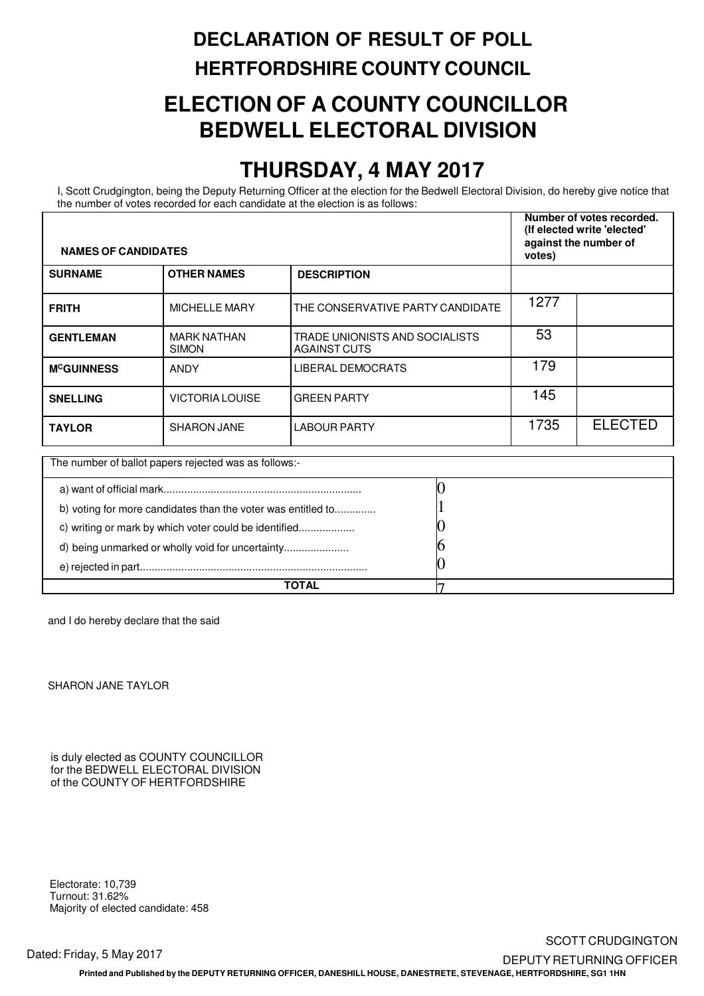## **DECLARATION OF RESULT OF POLL HERTFORDSHIRE COUNTY COUNCIL**

### **ELECTION OF A COUNTY COUNCILLOR BEDWELL ELECTORAL DIVISION**

### **THURSDAY, 4 MAY 2017**

 the number of votes recorded for each candidate at the election is as follows: I, Scott Crudgington, being the Deputy Returning Officer at the election for the Bedwell Electoral Division, do hereby give notice that

| <b>NAMES OF CANDIDATES</b>                            |                                                              |                                                       | Number of votes recorded.<br>(If elected write 'elected'<br>against the number of<br>votes) |                |
|-------------------------------------------------------|--------------------------------------------------------------|-------------------------------------------------------|---------------------------------------------------------------------------------------------|----------------|
| <b>SURNAME</b>                                        | <b>OTHER NAMES</b>                                           | <b>DESCRIPTION</b>                                    |                                                                                             |                |
| <b>FRITH</b>                                          | <b>MICHELLE MARY</b>                                         | THE CONSERVATIVE PARTY CANDIDATE                      | 1277                                                                                        |                |
| <b>GENTLEMAN</b>                                      | <b>MARK NATHAN</b><br><b>SIMON</b>                           | TRADE UNIONISTS AND SOCIALISTS<br><b>AGAINST CUTS</b> | 53                                                                                          |                |
| <b>MCGUINNESS</b>                                     | ANDY                                                         | <b>LIBERAL DEMOCRATS</b>                              | 179                                                                                         |                |
| <b>SNELLING</b>                                       | <b>VICTORIA LOUISE</b>                                       | <b>GREEN PARTY</b>                                    | 145                                                                                         |                |
| <b>TAYLOR</b>                                         | <b>SHARON JANE</b>                                           | <b>LABOUR PARTY</b>                                   | 1735                                                                                        | <b>ELECTED</b> |
|                                                       | The number of ballot papers rejected was as follows:-        |                                                       |                                                                                             |                |
|                                                       |                                                              |                                                       |                                                                                             |                |
|                                                       | b) voting for more candidates than the voter was entitled to |                                                       |                                                                                             |                |
| c) writing or mark by which voter could be identified |                                                              |                                                       |                                                                                             |                |
|                                                       | d) being unmarked or wholly void for uncertainty             |                                                       |                                                                                             |                |
|                                                       |                                                              |                                                       |                                                                                             |                |

**TOTAL** 7

and I do hereby declare that the said

SHARON JANE TAYLOR

 is duly elected as COUNTY COUNCILLOR for the BEDWELL ELECTORAL DIVISION of the COUNTY OF HERTFORDSHIRE

 Electorate: 10,739 Turnout: 31.62% Majority of elected candidate: 458

#### SCOTT CRUDGINGTON Dated: Friday, 5 May 2017 **DEPUTY RETURNING OFFICER Printed and Published by the DEPUTY RETURNING OFFICER, DANESHILL HOUSE, DANESTRETE, STEVENAGE, HERTFORDSHIRE, SG1 1HN**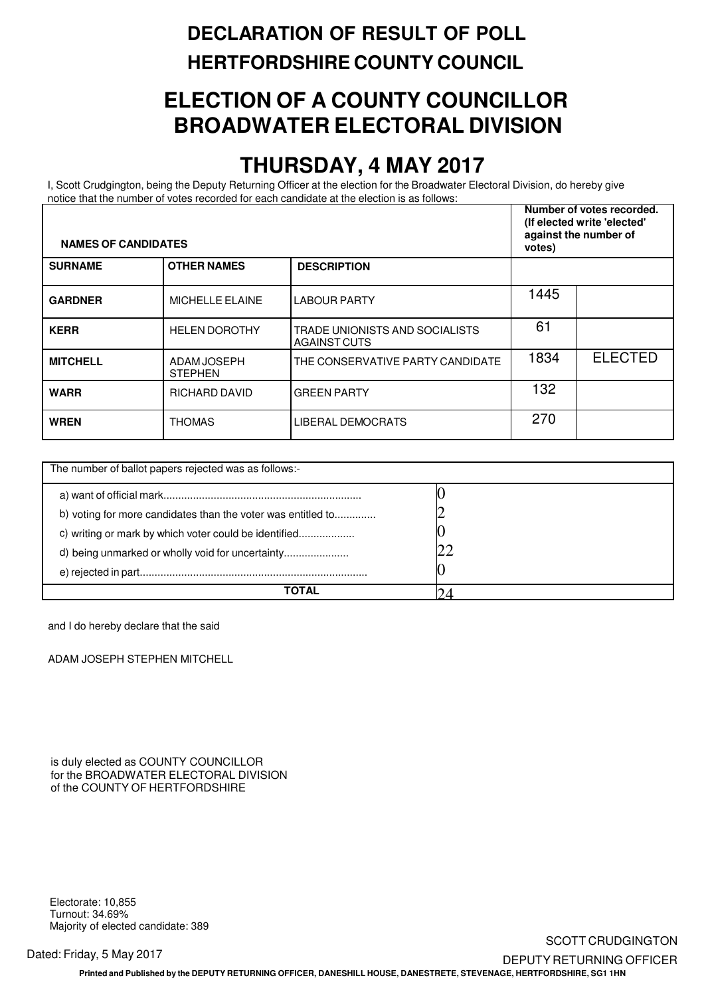### **DECLARATION OF RESULT OF POLL HERTFORDSHIRE COUNTY COUNCIL**

## **ELECTION OF A COUNTY COUNCILLOR BROADWATER ELECTORAL DIVISION**

### **THURSDAY, 4 MAY 2017**

 notice that the number of votes recorded for each candidate at the election is as follows: I, Scott Crudgington, being the Deputy Returning Officer at the election for the Broadwater Electoral Division, do hereby give

| <b>NAMES OF CANDIDATES</b> |                                                       |                                                       | Number of votes recorded.<br>(If elected write 'elected'<br>against the number of<br>votes) |                |
|----------------------------|-------------------------------------------------------|-------------------------------------------------------|---------------------------------------------------------------------------------------------|----------------|
| <b>SURNAME</b>             | <b>OTHER NAMES</b>                                    | <b>DESCRIPTION</b>                                    |                                                                                             |                |
| <b>GARDNER</b>             | <b>MICHELLE ELAINE</b>                                | LABOUR PARTY                                          | 1445                                                                                        |                |
| <b>KERR</b>                | <b>HELEN DOROTHY</b>                                  | TRADE UNIONISTS AND SOCIALISTS<br><b>AGAINST CUTS</b> | 61                                                                                          |                |
| <b>MITCHELL</b>            | ADAM JOSEPH<br><b>STEPHEN</b>                         | THE CONSERVATIVE PARTY CANDIDATE                      | 1834                                                                                        | <b>ELECTED</b> |
| <b>WARR</b>                | <b>RICHARD DAVID</b>                                  | <b>GREEN PARTY</b>                                    | 132                                                                                         |                |
| <b>WREN</b>                | <b>THOMAS</b>                                         | LIBERAL DEMOCRATS                                     | 270                                                                                         |                |
|                            | The number of ballot papers rejected was as follows:- |                                                       |                                                                                             |                |

| The number of ballot papers rejected was as follows:-        |  |
|--------------------------------------------------------------|--|
|                                                              |  |
| b) voting for more candidates than the voter was entitled to |  |
| c) writing or mark by which voter could be identified        |  |
|                                                              |  |
|                                                              |  |
| ΤΩΤΔΙ                                                        |  |

and I do hereby declare that the said

ADAM JOSEPH STEPHEN MITCHELL

 is duly elected as COUNTY COUNCILLOR for the BROADWATER ELECTORAL DIVISION of the COUNTY OF HERTFORDSHIRE

 Electorate: 10,855 Turnout: 34.69% Majority of elected candidate: 389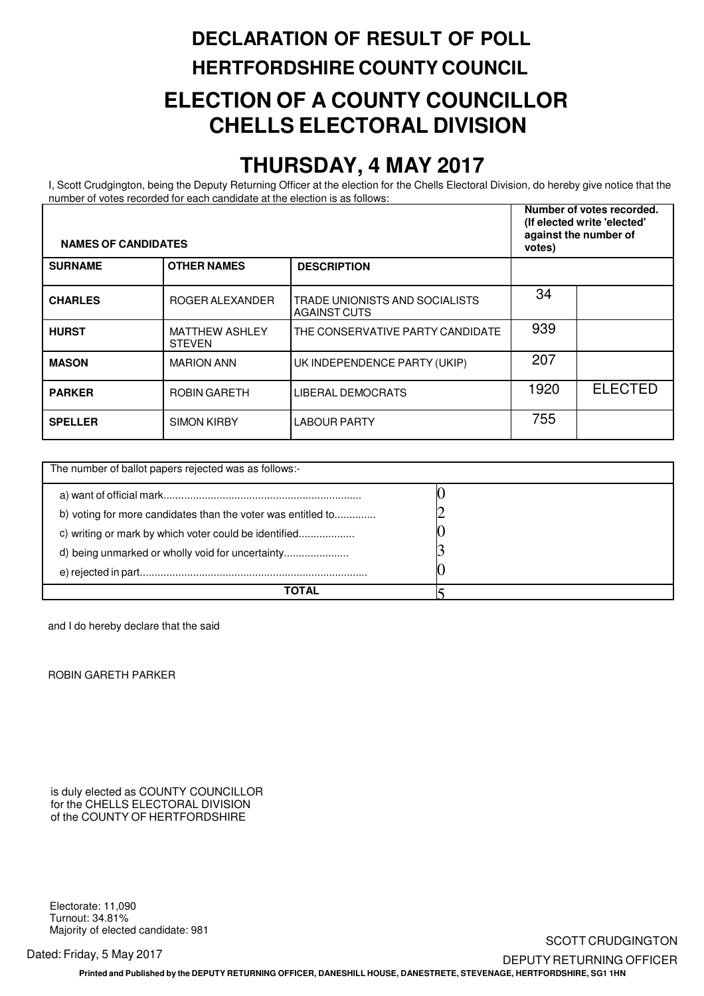# **DECLARATION OF RESULT OF POLL HERTFORDSHIRE COUNTY COUNCIL ELECTION OF A COUNTY COUNCILLOR CHELLS ELECTORAL DIVISION**

#### **THURSDAY, 4 MAY 2017**

 number of votes recorded for each candidate at the election is as follows: I, Scott Crudgington, being the Deputy Returning Officer at the election for the Chells Electoral Division, do hereby give notice that the

| <b>NAMES OF CANDIDATES</b> |                                                       |                                                       | Number of votes recorded.<br>(If elected write 'elected'<br>against the number of<br>votes) |                |
|----------------------------|-------------------------------------------------------|-------------------------------------------------------|---------------------------------------------------------------------------------------------|----------------|
| <b>SURNAME</b>             | <b>OTHER NAMES</b>                                    | <b>DESCRIPTION</b>                                    |                                                                                             |                |
| <b>CHARLES</b>             | ROGER ALEXANDER                                       | TRADE UNIONISTS AND SOCIALISTS<br><b>AGAINST CUTS</b> | 34                                                                                          |                |
| <b>HURST</b>               | MATTHEW ASHLEY<br><b>STEVEN</b>                       | THE CONSERVATIVE PARTY CANDIDATE                      | 939                                                                                         |                |
| <b>MASON</b>               | <b>MARION ANN</b>                                     | UK INDEPENDENCE PARTY (UKIP)                          | 207                                                                                         |                |
| <b>PARKER</b>              | <b>ROBIN GARETH</b>                                   | <b>LIBERAL DEMOCRATS</b>                              | 1920                                                                                        | <b>ELECTED</b> |
| <b>SPELLER</b>             | <b>SIMON KIRBY</b>                                    | <b>LABOUR PARTY</b>                                   | 755                                                                                         |                |
|                            |                                                       |                                                       |                                                                                             |                |
|                            | The number of ballot papers rejected was as follows:- |                                                       |                                                                                             |                |

| The number of ballot papers rejected was as follows:-        |  |
|--------------------------------------------------------------|--|
|                                                              |  |
| b) voting for more candidates than the voter was entitled to |  |
| c) writing or mark by which voter could be identified        |  |
| d) being unmarked or wholly void for uncertainty             |  |
|                                                              |  |
| ΤΟΤΑΙ                                                        |  |

and I do hereby declare that the said

ROBIN GARETH PARKER

 is duly elected as COUNTY COUNCILLOR for the CHELLS ELECTORAL DIVISION of the COUNTY OF HERTFORDSHIRE

 Electorate: 11,090 Turnout: 34.81% Majority of elected candidate: 981

**Printed and Published by the DEPUTY RETURNING OFFICER, DANESHILL HOUSE, DANESTRETE, STEVENAGE, HERTFORDSHIRE, SG1 1HN**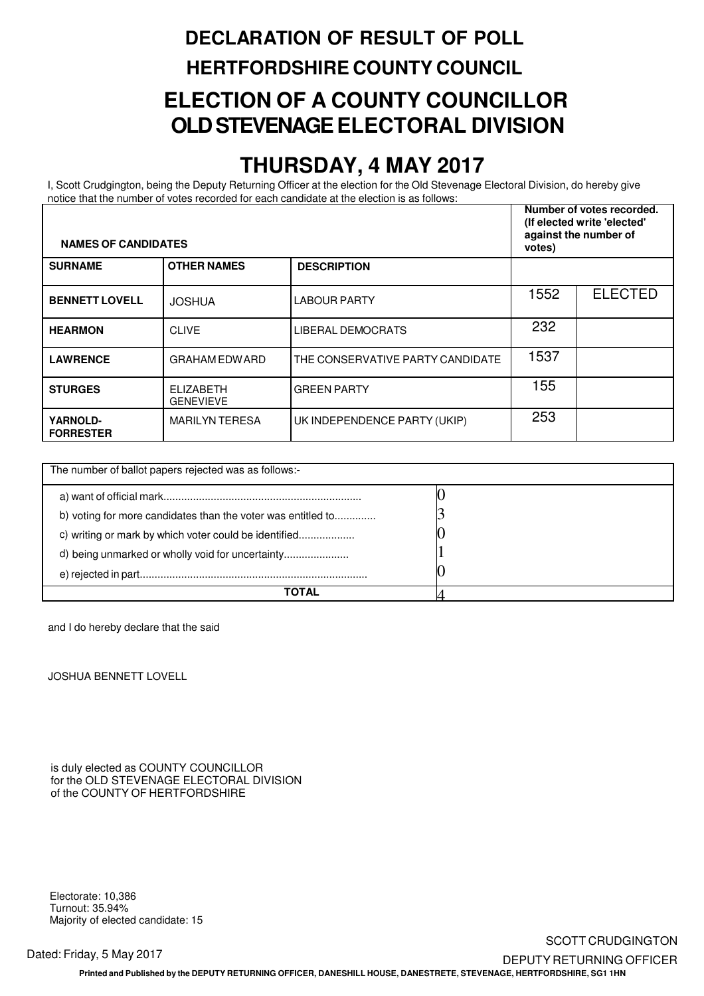# **DECLARATION OF RESULT OF POLL HERTFORDSHIRE COUNTY COUNCIL ELECTION OF A COUNTY COUNCILLOR OLD STEVENAGE ELECTORAL DIVISION**

#### **THURSDAY, 4 MAY 2017**

 notice that the number of votes recorded for each candidate at the election is as follows: I, Scott Crudgington, being the Deputy Returning Officer at the election for the Old Stevenage Electoral Division, do hereby give

| <b>NAMES OF CANDIDATES</b>   |                                                       |                                  | Number of votes recorded.<br>(If elected write 'elected'<br>against the number of<br>votes) |                |
|------------------------------|-------------------------------------------------------|----------------------------------|---------------------------------------------------------------------------------------------|----------------|
| <b>SURNAME</b>               | <b>OTHER NAMES</b>                                    | <b>DESCRIPTION</b>               |                                                                                             |                |
| <b>BENNETT LOVELL</b>        | <b>JOSHUA</b>                                         | <b>LABOUR PARTY</b>              | 1552                                                                                        | <b>ELECTED</b> |
| <b>HEARMON</b>               | <b>CLIVE</b>                                          | <b>LIBERAL DEMOCRATS</b>         | 232                                                                                         |                |
| <b>LAWRENCE</b>              | <b>GRAHAM EDWARD</b>                                  | THE CONSERVATIVE PARTY CANDIDATE | 1537                                                                                        |                |
| <b>STURGES</b>               | <b>ELIZABETH</b><br><b>GENEVIEVE</b>                  | <b>GREEN PARTY</b>               | 155                                                                                         |                |
| YARNOLD-<br><b>FORRESTER</b> | <b>MARILYN TERESA</b>                                 | UK INDEPENDENCE PARTY (UKIP)     | 253                                                                                         |                |
|                              | The number of ballot papers rejected was as follows:- |                                  |                                                                                             |                |
|                              |                                                       |                                  |                                                                                             |                |

| The number of ballot papers rejected was as follows:-        |  |
|--------------------------------------------------------------|--|
|                                                              |  |
| b) voting for more candidates than the voter was entitled to |  |
| c) writing or mark by which voter could be identified        |  |
| d) being unmarked or wholly void for uncertainty             |  |
|                                                              |  |
| TOTAL                                                        |  |

and I do hereby declare that the said

JOSHUA BENNETT LOVELL

 is duly elected as COUNTY COUNCILLOR for the OLD STEVENAGE ELECTORAL DIVISION of the COUNTY OF HERTFORDSHIRE

 Electorate: 10,386 Turnout: 35.94% Majority of elected candidate: 15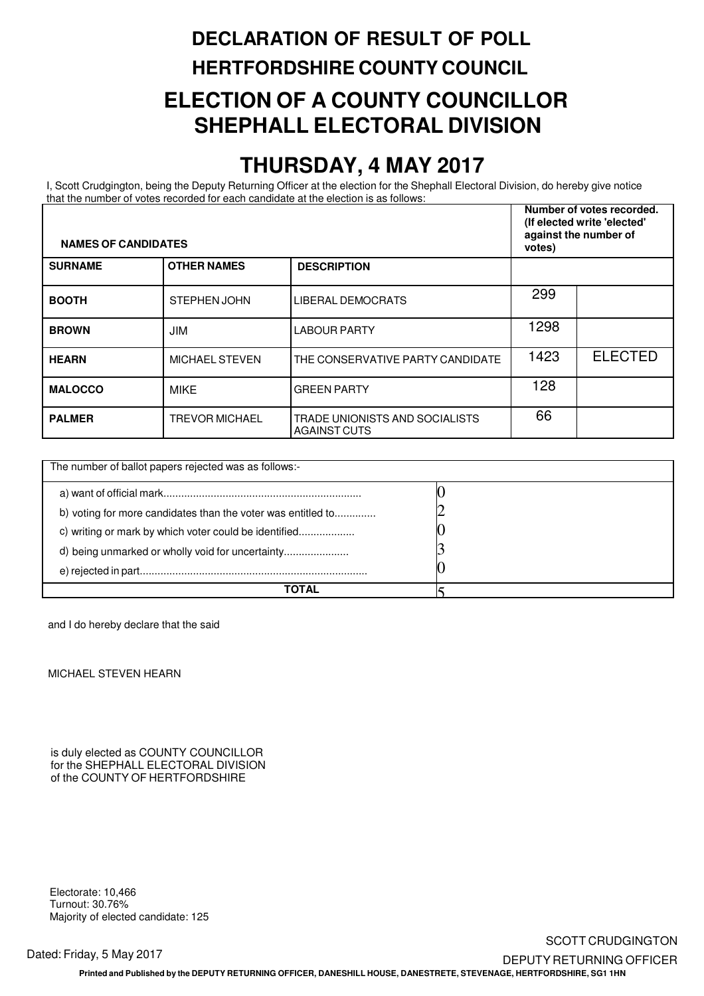# **DECLARATION OF RESULT OF POLL HERTFORDSHIRE COUNTY COUNCIL ELECTION OF A COUNTY COUNCILLOR SHEPHALL ELECTORAL DIVISION**

#### **THURSDAY, 4 MAY 2017**

 that the number of votes recorded for each candidate at the election is as follows: I, Scott Crudgington, being the Deputy Returning Officer at the election for the Shephall Electoral Division, do hereby give notice

| <b>NAMES OF CANDIDATES</b> |                                                       |                                                       | Number of votes recorded.<br>(If elected write 'elected'<br>against the number of<br>votes) |                |
|----------------------------|-------------------------------------------------------|-------------------------------------------------------|---------------------------------------------------------------------------------------------|----------------|
| <b>SURNAME</b>             | <b>OTHER NAMES</b>                                    | <b>DESCRIPTION</b>                                    |                                                                                             |                |
| <b>BOOTH</b>               | STEPHEN JOHN                                          | LIBERAL DEMOCRATS                                     | 299                                                                                         |                |
| <b>BROWN</b>               | <b>JIM</b>                                            | <b>LABOUR PARTY</b>                                   | 1298                                                                                        |                |
| <b>HEARN</b>               | <b>MICHAEL STEVEN</b>                                 | THE CONSERVATIVE PARTY CANDIDATE                      | 1423                                                                                        | <b>ELECTED</b> |
| <b>MALOCCO</b>             | <b>MIKE</b>                                           | <b>GREEN PARTY</b>                                    | 128                                                                                         |                |
| <b>PALMER</b>              | <b>TREVOR MICHAEL</b>                                 | TRADE UNIONISTS AND SOCIALISTS<br><b>AGAINST CUTS</b> | 66                                                                                          |                |
|                            | The number of ballot papers rejected was as follows:- |                                                       |                                                                                             |                |

| The number of ballot papers rejected was as follows:-        |  |
|--------------------------------------------------------------|--|
|                                                              |  |
| b) voting for more candidates than the voter was entitled to |  |
| c) writing or mark by which voter could be identified        |  |
| d) being unmarked or wholly void for uncertainty             |  |
|                                                              |  |
| ΤΟΤΑΙ                                                        |  |

and I do hereby declare that the said

MICHAEL STEVEN HEARN

 is duly elected as COUNTY COUNCILLOR for the SHEPHALL ELECTORAL DIVISION of the COUNTY OF HERTFORDSHIRE

 Electorate: 10,466 Turnout: 30.76% Majority of elected candidate: 125